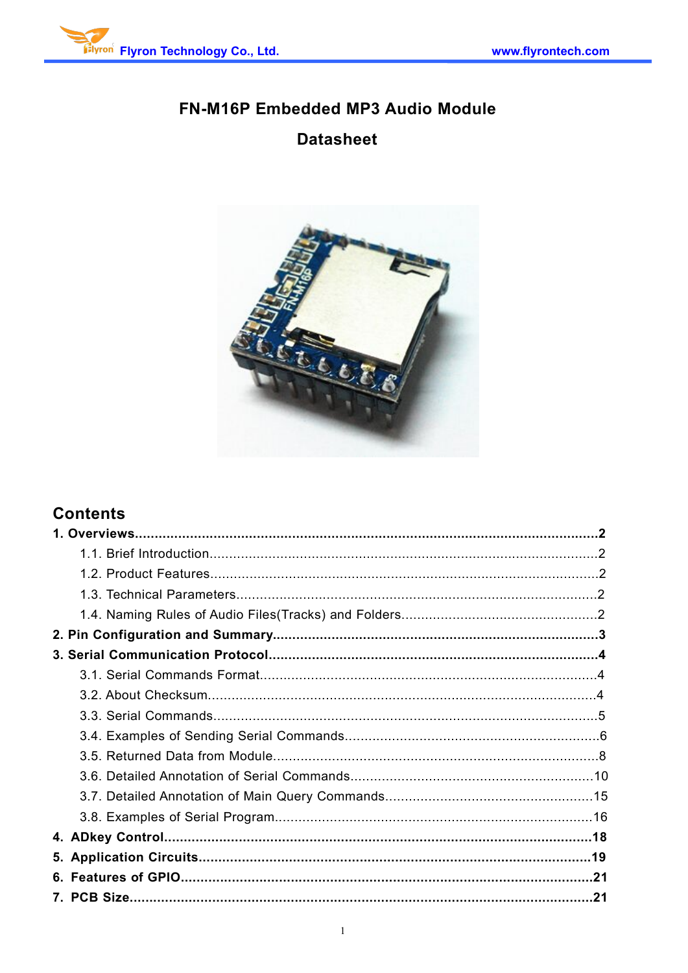

# FN-M16P Embedded MP3 Audio Module **Datasheet**



# **Contents**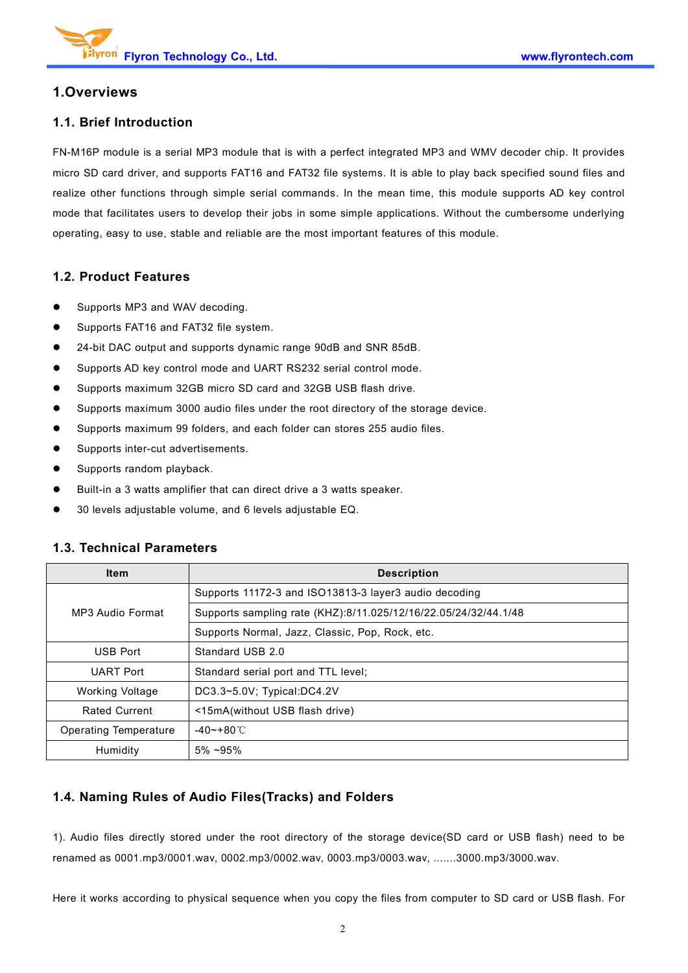### **1.Overviews**

### **1.1. Brief Introduction**

FN-M16P module isa serial MP3 module that is with a perfect integrated MP3 and WMV decoder chip. It provides micro SD card driver, and supports FAT16 and FAT32 file systems. It is able to play back specified sound files and realize other functions through simple serial commands. In the mean time, this module supports AD key control mode that facilitates users to develop their jobs in some simple applications. Without the cumbersome underlying operating, easy to use, stable and reliable are the most important features of this module.

### **1.2. Product Features**

- Supports MP3 and WAV decoding.
- Supports FAT16 and FAT32 file system.
- 24-bit DAC output and supports dynamic range 90dB and SNR 85dB.
- Supports AD key control mode and UART RS232 serial control mode.
- Supports maximum 32GB micro SD card and 32GB USB flash drive.
- Supports maximum 3000 audio files under the root directory of the storage device.
- Supports maximum 99 folders, and each folder can stores 255 audio files.
- Supports inter-cut advertisements.
- **Supports random playback.**
- Built-in a 3 watts amplifier that can direct drive a 3 watts speaker.
- 30 levels adjustable volume, and 6 levels adjustable EQ.

| <b>Item</b>                                     | <b>Description</b>                                              |  |
|-------------------------------------------------|-----------------------------------------------------------------|--|
|                                                 | Supports 11172-3 and ISO13813-3 layer3 audio decoding           |  |
| MP3 Audio Format                                | Supports sampling rate (KHZ):8/11.025/12/16/22.05/24/32/44.1/48 |  |
| Supports Normal, Jazz, Classic, Pop, Rock, etc. |                                                                 |  |
| <b>USB Port</b>                                 | Standard USB 2.0                                                |  |
| <b>UART Port</b>                                | Standard serial port and TTL level:                             |  |
| Working Voltage                                 | DC3.3~5.0V; Typical:DC4.2V                                      |  |
| <b>Rated Current</b>                            | <15mA(without USB flash drive)                                  |  |
| <b>Operating Temperature</b>                    | $-40$ ~+80 °C                                                   |  |
| Humidity                                        | $5\% \sim 95\%$                                                 |  |

#### **1.3. Technical Parameters**

### **1.4. Naming Rules of Audio Files(Tracks) and Folders**

1). Audio files directly stored under the root directory of the storage device(SD card or USB flash) need to be renamed as 0001.mp3/0001.wav, 0002.mp3/0002.wav, 0003.mp3/0003.wav, .......3000.mp3/3000.wav.

Here it works according to physical sequence when you copy the files from computer to SD card or USB flash. For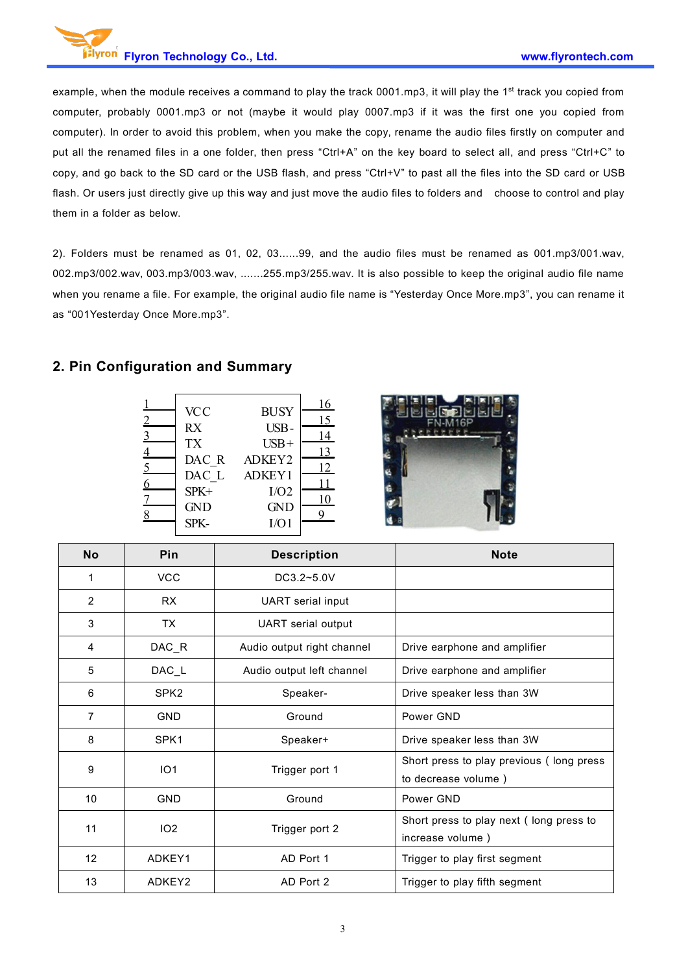example, when the module receives a command to play the track 0001.mp3, it will play the 1<sup>st</sup> track you copied from computer, probably 0001.mp3 or not (maybe it would play 0007.mp3 if it was the first one you copied from computer). In order to avoid this problem, when you make the copy, rename the audio files firstly on computer and put all the renamed files in a one folder, then press "Ctrl+A" on the key board to select all, and press "Ctrl+C" to copy, and go back to the SD card or the USB flash, and press "Ctrl+V" to past all the files into the SD card or USB flash. Or users just directly give up this way and just move the audio files to folders and choose to control and play them in a folder as below.

2). Folders must be renamed as 01, 02, 03......99, and the audio files mustbe renamed as 001.mp3/001.wav, 002.mp3/002.wav, 003.mp3/003.wav, .......255.mp3/255.wav. It is also possible to keep the original audio file name when you rename a file. For example, the original audio file name is "Yesterday Once More.mp3", you can rename it as "001Yesterday Once More.mp3".

### **2. Pin Configuration and Summary**

| $\overline{2}$<br>$\overline{3}$<br>$\overline{4}$<br>$\overline{5}$<br>6 | <b>VCC</b><br><b>RX</b><br><b>TX</b><br>DAC R<br>DAC L<br>SPK+ | <b>BUSY</b><br>USB-<br>$USB+$<br>ADKEY2<br>ADKEY1<br>I/O2 | 16<br>15<br>14<br>13<br>12<br>11 |
|---------------------------------------------------------------------------|----------------------------------------------------------------|-----------------------------------------------------------|----------------------------------|
| 8                                                                         | <b>GND</b><br>SPK-                                             | <b>GND</b><br>I/O1                                        | 10                               |



| <b>No</b>      | Pin              | <b>Description</b>         | <b>Note</b>                                                     |
|----------------|------------------|----------------------------|-----------------------------------------------------------------|
| 1              | <b>VCC</b>       | DC3.2~5.0V                 |                                                                 |
| $\overline{2}$ | <b>RX</b>        | <b>UART</b> serial input   |                                                                 |
| 3              | TX               | UART serial output         |                                                                 |
| 4              | $DAC_R$          | Audio output right channel | Drive earphone and amplifier                                    |
| 5              | DAC_L            | Audio output left channel  | Drive earphone and amplifier                                    |
| 6              | SPK <sub>2</sub> | Speaker-                   | Drive speaker less than 3W                                      |
| 7              | <b>GND</b>       | Ground                     | Power GND                                                       |
| 8              | SPK1             | Speaker+                   | Drive speaker less than 3W                                      |
| 9              | IO <sub>1</sub>  | Trigger port 1             | Short press to play previous (long press<br>to decrease volume) |
| 10             | <b>GND</b>       | Ground                     | Power GND                                                       |
| 11             | IO <sub>2</sub>  | Trigger port 2             | Short press to play next (long press to<br>increase volume)     |
| 12             | ADKEY1           | AD Port 1                  | Trigger to play first segment                                   |
| 13             | ADKEY2           | AD Port 2                  | Trigger to play fifth segment                                   |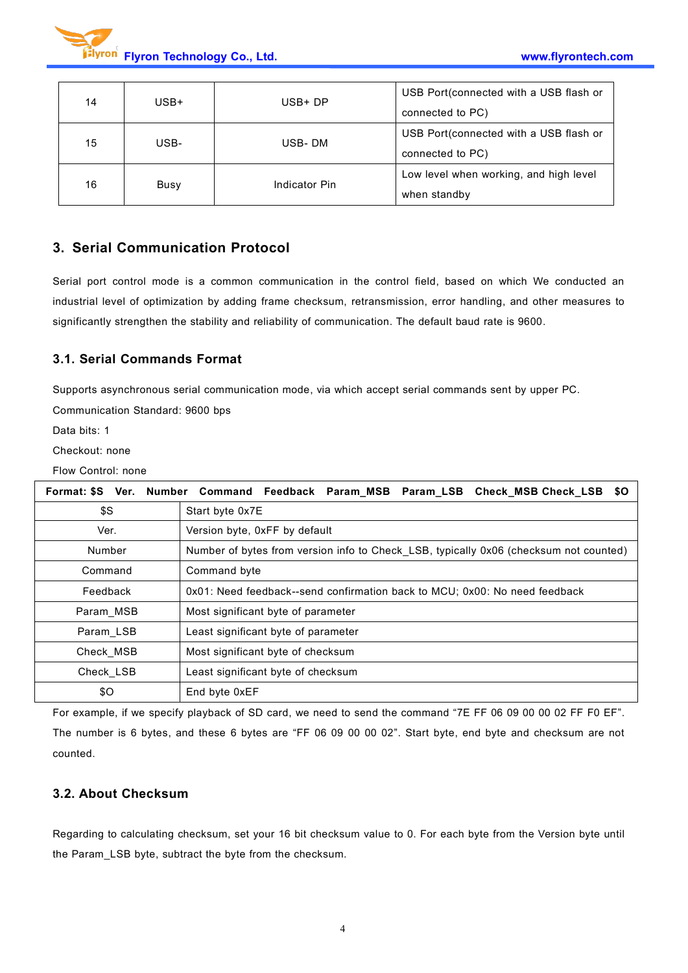

| 14 | $USB+$ | $USB+DP$         | USB Port (connected with a USB flash or |
|----|--------|------------------|-----------------------------------------|
|    |        | connected to PC) |                                         |
| 15 | USB-   | USB-DM           | USB Port (connected with a USB flash or |
|    |        |                  | connected to PC)                        |
| 16 | Busy   | Indicator Pin    | Low level when working, and high level  |
|    |        |                  | when standby                            |

### **3. Serial Communication Protocol**

Serial port control mode is a common communication in the control field, based on which We conducted an industrial level of optimization by adding frame checksum, retransmission, error handling, and other measures to significantly strengthen the stability and reliability of communication. The default baud rate is 9600.

### **3.1. Serial Commands Format**

Supports asynchronous serial communication mode, via which accept serial commands sent by upper PC.

Communication Standard: 9600 bps

Data bits: 1

Checkout: none

Flow Control: none

| <b>Format: \$S</b> | Ver. Number Command Feedback Param_MSB Param_LSB Check_MSB Check_LSB<br>SO.           |  |  |
|--------------------|---------------------------------------------------------------------------------------|--|--|
| \$S                | Start byte 0x7E                                                                       |  |  |
| Ver.               | Version byte, 0xFF by default                                                         |  |  |
| Number             | Number of bytes from version info to Check LSB, typically 0x06 (checksum not counted) |  |  |
| Command            | Command byte                                                                          |  |  |
| Feedback           | 0x01: Need feedback--send confirmation back to MCU; 0x00: No need feedback            |  |  |
| Param MSB          | Most significant byte of parameter                                                    |  |  |
| Param LSB          | Least significant byte of parameter                                                   |  |  |
| Check MSB          | Most significant byte of checksum                                                     |  |  |
| Check LSB          | Least significant byte of checksum                                                    |  |  |
| \$0                | End byte 0xEF                                                                         |  |  |

For example, if we specify playback of SD card, we need to send the command "7E FF 06 09 00 00 02 FF F0 EF". The number is 6 bytes, and these 6 bytes are "FF 06 09 00 00 02". Start byte, end byte and checksum are not counted.

### **3.2. About Checksum**

Regarding to calculating checksum, set your 16 bit checksum value to 0. For each byte from the Version byte until the Param\_LSB byte, subtract the byte from the checksum.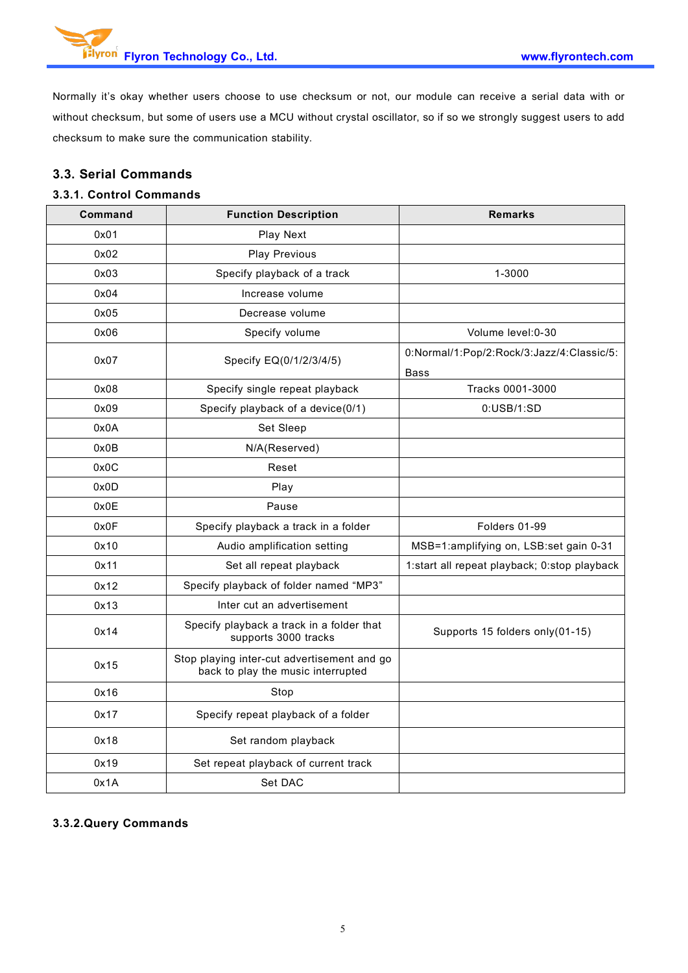Normally it's okay whether users choose to use checksum or not, our module can receive a serial data with or without checksum, but some of users use a MCU without crystal oscillator, so if so we strongly suggest users to add checksum to make sure the communication stability.

### **3.3. Serial Commands**

### **3.3.1. Control Commands**

| Command | <b>Function Description</b>                                                       | <b>Remarks</b>                                    |
|---------|-----------------------------------------------------------------------------------|---------------------------------------------------|
| 0x01    | Play Next                                                                         |                                                   |
| 0x02    | <b>Play Previous</b>                                                              |                                                   |
| 0x03    | Specify playback of a track                                                       | 1-3000                                            |
| 0x04    | Increase volume                                                                   |                                                   |
| 0x05    | Decrease volume                                                                   |                                                   |
| 0x06    | Specify volume                                                                    | Volume level: 0-30                                |
| 0x07    | Specify EQ(0/1/2/3/4/5)                                                           | 0:Normal/1:Pop/2:Rock/3:Jazz/4:Classic/5:<br>Bass |
| 0x08    | Specify single repeat playback                                                    | Tracks 0001-3000                                  |
| 0x09    | Specify playback of a device(0/1)                                                 | 0:USB/1:SD                                        |
| 0x0A    | Set Sleep                                                                         |                                                   |
| 0x0B    | N/A(Reserved)                                                                     |                                                   |
| 0x0C    | Reset                                                                             |                                                   |
| 0x0D    | Play                                                                              |                                                   |
| 0x0E    | Pause                                                                             |                                                   |
| 0x0F    | Specify playback a track in a folder                                              | Folders 01-99                                     |
| 0x10    | Audio amplification setting                                                       | MSB=1:amplifying on, LSB:set gain 0-31            |
| 0x11    | Set all repeat playback                                                           | 1:start all repeat playback; 0:stop playback      |
| 0x12    | Specify playback of folder named "MP3"                                            |                                                   |
| 0x13    | Inter cut an advertisement                                                        |                                                   |
| 0x14    | Specify playback a track in a folder that<br>supports 3000 tracks                 | Supports 15 folders only (01-15)                  |
| 0x15    | Stop playing inter-cut advertisement and go<br>back to play the music interrupted |                                                   |
| 0x16    | Stop                                                                              |                                                   |
| 0x17    | Specify repeat playback of a folder                                               |                                                   |
| 0x18    | Set random playback                                                               |                                                   |
| 0x19    | Set repeat playback of current track                                              |                                                   |
| 0x1A    | Set DAC                                                                           |                                                   |

#### **3.3.2.Query Commands**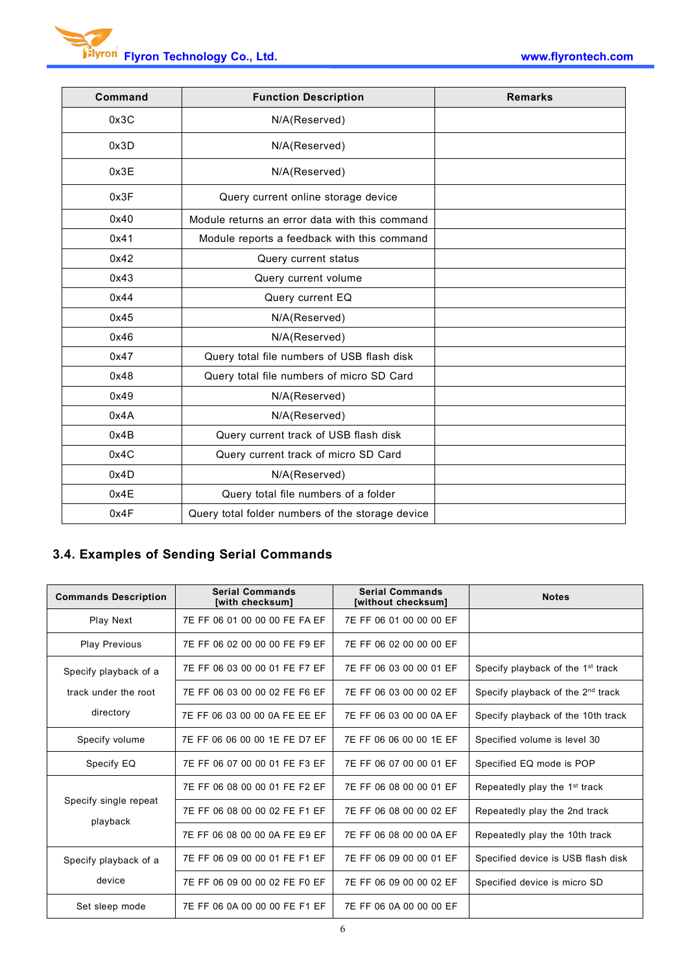| Command | <b>Function Description</b>                      | <b>Remarks</b> |
|---------|--------------------------------------------------|----------------|
| 0x3C    | N/A(Reserved)                                    |                |
| 0x3D    | N/A(Reserved)                                    |                |
| 0x3E    | N/A(Reserved)                                    |                |
| 0x3F    | Query current online storage device              |                |
| 0x40    | Module returns an error data with this command   |                |
| 0x41    | Module reports a feedback with this command      |                |
| 0x42    | Query current status                             |                |
| 0x43    | Query current volume                             |                |
| 0x44    | Query current EQ                                 |                |
| 0x45    | N/A(Reserved)                                    |                |
| 0x46    | N/A(Reserved)                                    |                |
| 0x47    | Query total file numbers of USB flash disk       |                |
| 0x48    | Query total file numbers of micro SD Card        |                |
| 0x49    | N/A(Reserved)                                    |                |
| 0x4A    | N/A(Reserved)                                    |                |
| 0x4B    | Query current track of USB flash disk            |                |
| 0x4C    | Query current track of micro SD Card             |                |
| 0x4D    | N/A(Reserved)                                    |                |
| 0x4E    | Query total file numbers of a folder             |                |
| 0x4F    | Query total folder numbers of the storage device |                |
|         |                                                  |                |

# **3.4. Examples of Sending Serial Commands**

| <b>Commands Description</b>       | <b>Serial Commands</b><br>[with checksum] | <b>Serial Commands</b><br>[without checksum] | <b>Notes</b>                                  |
|-----------------------------------|-------------------------------------------|----------------------------------------------|-----------------------------------------------|
| Play Next                         | 7E FF 06 01 00 00 00 FE FA EF             | 7E FF 06 01 00 00 00 EF                      |                                               |
| <b>Play Previous</b>              | 7E FF 06 02 00 00 00 FE F9 EF             | 7E FF 06 02 00 00 00 EF                      |                                               |
| Specify playback of a             | 7E FF 06 03 00 00 01 FE F7 EF             | 7E FF 06 03 00 00 01 EF                      | Specify playback of the 1 <sup>st</sup> track |
| track under the root              | 7E FF 06 03 00 00 02 FE F6 EF             | 7E FF 06 03 00 00 02 EF                      | Specify playback of the 2 <sup>nd</sup> track |
| directory                         | 7E FF 06 03 00 00 0A FE EE EF             | 7E FF 06 03 00 00 0A EF                      | Specify playback of the 10th track            |
| Specify volume                    | 7E FF 06 06 00 00 1E FE D7 EF             | 7E FF 06 06 00 00 1E EF                      | Specified volume is level 30                  |
| Specify EQ                        | 7E FF 06 07 00 00 01 FE F3 EF             | 7E FF 06 07 00 00 01 EF                      | Specified EQ mode is POP                      |
|                                   | 7E FF 06 08 00 00 01 FE F2 EF             | 7E FF 06 08 00 00 01 EF                      | Repeatedly play the 1 <sup>st</sup> track     |
| Specify single repeat<br>playback | 7E FF 06 08 00 00 02 FE F1 EF             | 7E FF 06 08 00 00 02 EF                      | Repeatedly play the 2nd track                 |
|                                   | 7E FF 06 08 00 00 0A FE E9 EF             | 7E FF 06 08 00 00 0A EF                      | Repeatedly play the 10th track                |
| Specify playback of a             | 7E FF 06 09 00 00 01 FE F1 EF             | 7E FF 06 09 00 00 01 EF                      | Specified device is USB flash disk            |
| device                            | 7E FF 06 09 00 00 02 FE F0 EF             | 7E FF 06 09 00 00 02 EF                      | Specified device is micro SD                  |
| Set sleep mode                    | 7E FF 06 0A 00 00 00 FE F1 EF             | 7E FF 06 0A 00 00 00 EF                      |                                               |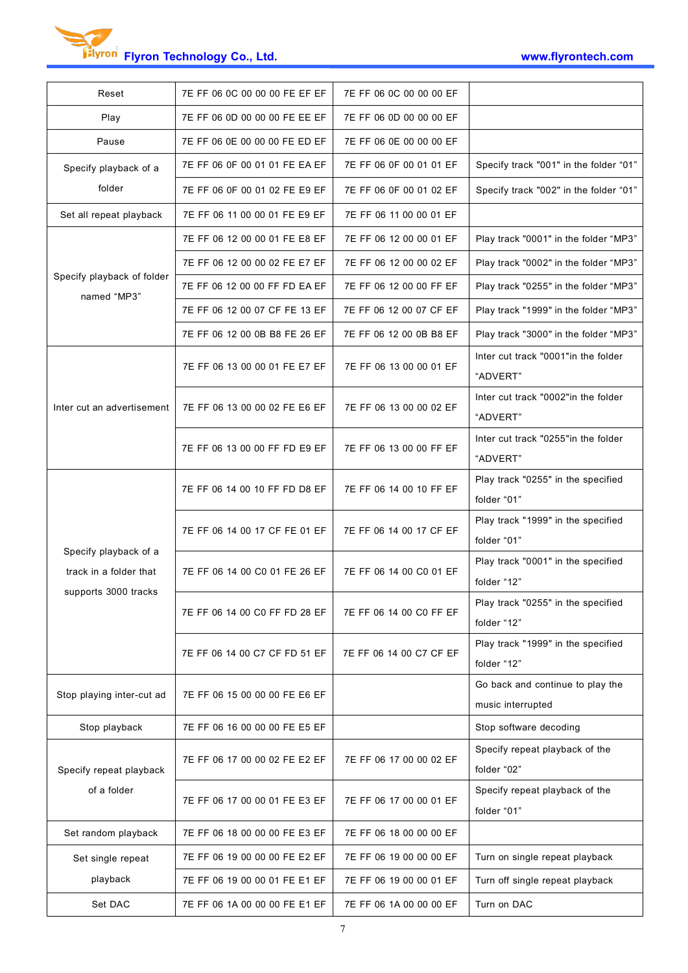**Flyron Technology Co., Ltd. www.flyrontech.com**

| Reset                                           | 7E FF 06 0C 00 00 00 FE EF EF | 7E FF 06 0C 00 00 00 EF |                                                       |
|-------------------------------------------------|-------------------------------|-------------------------|-------------------------------------------------------|
| Play                                            | 7E FF 06 0D 00 00 00 FE EE EF | 7E FF 06 0D 00 00 00 EF |                                                       |
| Pause                                           | 7E FF 06 0E 00 00 00 FE ED EF | 7E FF 06 0E 00 00 00 EF |                                                       |
| Specify playback of a                           | 7E FF 06 0F 00 01 01 FE EA EF | 7E FF 06 0F 00 01 01 EF | Specify track "001" in the folder "01"                |
| folder                                          | 7E FF 06 0F 00 01 02 FE E9 EF | 7E FF 06 0F 00 01 02 EF | Specify track "002" in the folder "01"                |
| Set all repeat playback                         | 7E FF 06 11 00 00 01 FE E9 EF | 7E FF 06 11 00 00 01 EF |                                                       |
|                                                 | 7E FF 06 12 00 00 01 FE E8 EF | 7E FF 06 12 00 00 01 EF | Play track "0001" in the folder "MP3"                 |
|                                                 | 7E FF 06 12 00 00 02 FE E7 EF | 7E FF 06 12 00 00 02 EF | Play track "0002" in the folder "MP3"                 |
| Specify playback of folder<br>named "MP3"       | 7E FF 06 12 00 00 FF FD EA EF | 7E FF 06 12 00 00 FF EF | Play track "0255" in the folder "MP3"                 |
|                                                 | 7E FF 06 12 00 07 CF FE 13 EF | 7E FF 06 12 00 07 CF EF | Play track "1999" in the folder "MP3"                 |
|                                                 | 7E FF 06 12 00 0B B8 FE 26 EF | 7E FF 06 12 00 0B B8 EF | Play track "3000" in the folder "MP3"                 |
|                                                 | 7E FF 06 13 00 00 01 FE E7 EF | 7E FF 06 13 00 00 01 EF | Inter cut track "0001" in the folder<br>"ADVERT"      |
| Inter cut an advertisement                      | 7E FF 06 13 00 00 02 FE E6 EF | 7E FF 06 13 00 00 02 EF | Inter cut track "0002" in the folder<br>"ADVERT"      |
|                                                 | 7E FF 06 13 00 00 FF FD E9 EF | 7E FF 06 13 00 00 FF EF | Inter cut track "0255"in the folder<br>"ADVERT"       |
|                                                 | 7E FF 06 14 00 10 FF FD D8 EF | 7E FF 06 14 00 10 FF EF | Play track "0255" in the specified<br>folder "01"     |
|                                                 | 7E FF 06 14 00 17 CF FE 01 EF | 7E FF 06 14 00 17 CF EF | Play track "1999" in the specified<br>folder "01"     |
| Specify playback of a<br>track in a folder that | 7E FF 06 14 00 C0 01 FE 26 EF | 7E FF 06 14 00 C0 01 EF | Play track "0001" in the specified<br>folder "12"     |
| supports 3000 tracks                            | 7E FF 06 14 00 C0 FF FD 28 EF | 7E FF 06 14 00 C0 FF EF | Play track "0255" in the specified<br>folder "12"     |
|                                                 | 7E FF 06 14 00 C7 CF FD 51 EF | 7E FF 06 14 00 C7 CF EF | Play track "1999" in the specified<br>folder "12"     |
| Stop playing inter-cut ad                       | 7E FF 06 15 00 00 00 FE E6 EF |                         | Go back and continue to play the<br>music interrupted |
| Stop playback                                   | 7E FF 06 16 00 00 00 FE E5 EF |                         | Stop software decoding                                |
| Specify repeat playback                         | 7E FF 06 17 00 00 02 FE E2 EF | 7E FF 06 17 00 00 02 EF | Specify repeat playback of the<br>folder "02"         |
| of a folder                                     | 7E FF 06 17 00 00 01 FE E3 EF | 7E FF 06 17 00 00 01 EF | Specify repeat playback of the<br>folder "01"         |
| Set random playback                             | 7E FF 06 18 00 00 00 FE E3 EF | 7E FF 06 18 00 00 00 EF |                                                       |
| Set single repeat                               | 7E FF 06 19 00 00 00 FE E2 EF | 7E FF 06 19 00 00 00 EF | Turn on single repeat playback                        |
| playback                                        | 7E FF 06 19 00 00 01 FE E1 EF | 7E FF 06 19 00 00 01 EF | Turn off single repeat playback                       |
| Set DAC                                         | 7E FF 06 1A 00 00 00 FE E1 EF | 7E FF 06 1A 00 00 00 EF | Turn on DAC                                           |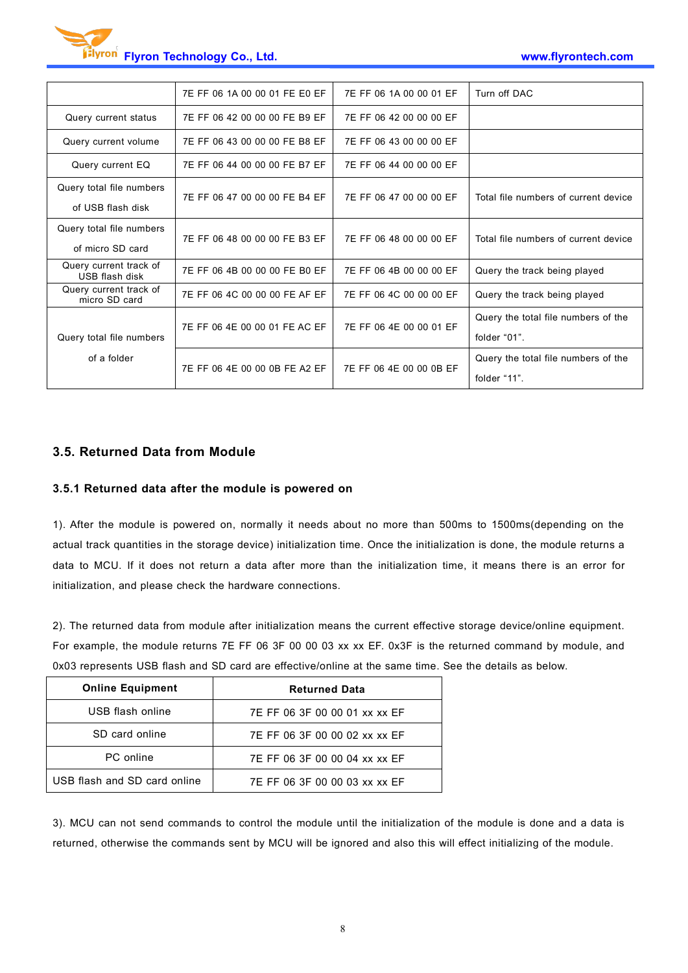

|                                          | 7E FF 06 1A 00 00 01 FE E0 EF | 7E FF 06 1A 00 00 01 EF | Turn off DAC                         |
|------------------------------------------|-------------------------------|-------------------------|--------------------------------------|
| Query current status                     | 7E FF 06 42 00 00 00 FE B9 EF | 7E FF 06 42 00 00 00 EF |                                      |
| Query current volume                     | 7E FF 06 43 00 00 00 FE B8 EF | 7E FF 06 43 00 00 00 EF |                                      |
| Query current EQ                         | 7E FF 06 44 00 00 00 FE B7 EF | 7E FF 06 44 00 00 00 EF |                                      |
| Query total file numbers                 | 7E FF 06 47 00 00 00 FE B4 EF | 7E FF 06 47 00 00 00 EF | Total file numbers of current device |
| of USB flash disk                        |                               |                         |                                      |
| Query total file numbers                 | 7E FF 06 48 00 00 00 FE B3 EF | 7E FF 06 48 00 00 00 EF | Total file numbers of current device |
| of micro SD card                         |                               |                         |                                      |
| Query current track of<br>USB flash disk | 7E FF 06 4B 00 00 00 FE B0 EF | 7E FF 06 4B 00 00 00 EF | Query the track being played         |
| Query current track of<br>micro SD card  | 7E FF 06 4C 00 00 00 FE AF EF | 7E FF 06 4C 00 00 00 EF | Query the track being played         |
|                                          |                               |                         | Query the total file numbers of the  |
| Query total file numbers                 | 7E FF 06 4E 00 00 01 FE AC EF | 7E FF 06 4E 00 00 01 EF | folder "01".                         |
| of a folder                              | 7E FF 06 4E 00 00 0B FE A2 EF | 7E FF 06 4E 00 00 0B EF | Query the total file numbers of the  |
|                                          |                               |                         | folder "11".                         |
|                                          |                               |                         |                                      |

### **3.5. Returned Data from Module**

#### **3.5.1 Returned data after the module is powered on**

1). After the module is powered on, normally it needs about no more than 500ms to 1500ms(depending on the actual track quantities in the storage device) initialization time. Once the initialization is done, the module returns a data to MCU. If itdoes not return a data after more than the initialization time, it means there is an error for initialization, and please check the hardware connections.

2). The returned data from module after initialization means the current effective storage device/online equipment. For example, the module returns 7E FF 06 3F 00 00 03 xx xx EF. 0x3F is the returned command by module, and 0x03 represents USB flash and SD card are effective/online at the same time. See the details as below.

| <b>Online Equipment</b>      | <b>Returned Data</b>          |
|------------------------------|-------------------------------|
| USB flash online             | 7E FF 06 3F 00 00 01 xx xx EF |
| SD card online               | 7E FF 06 3F 00 00 02 xx xx EF |
| PC online                    | 7E FF 06 3F 00 00 04 xx xx EF |
| USB flash and SD card online | 7E FF 06 3F 00 00 03 xx xx EF |

3). MCU can not send commands to control the module until the initialization of the module is done and a data is returned, otherwise the commands sent by MCU will be ignored and also this will effect initializing of the module.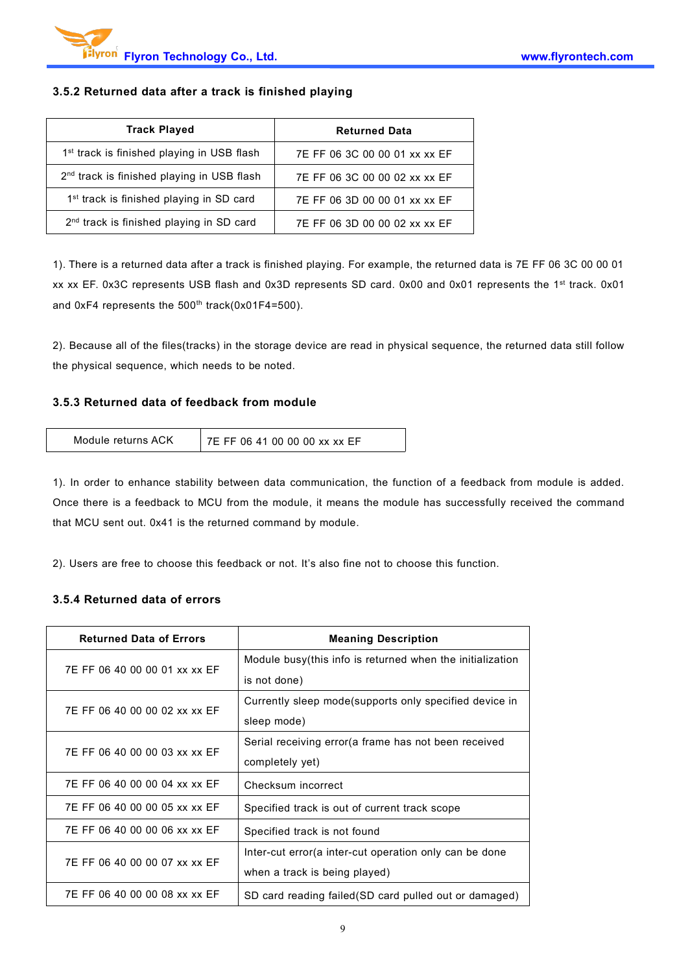### **3.5.2 Returned data after a track is finished playing**

| <b>Track Played</b>                                    | <b>Returned Data</b>          |
|--------------------------------------------------------|-------------------------------|
| 1 <sup>st</sup> track is finished playing in USB flash | 7E FF 06 3C 00 00 01 xx xx EF |
| $2nd$ track is finished playing in USB flash           | 7E FF 06 3C 00 00 02 xx xx EF |
| 1 <sup>st</sup> track is finished playing in SD card   | 7E FF 06 3D 00 00 01 xx xx EF |
| 2 <sup>nd</sup> track is finished playing in SD card   | 7E FF 06 3D 00 00 02 xx xx EF |

1). There is a returned data after a track is finished playing. For example, the returned data is7E FF 06 3C 00 00 01 xx xx EF. 0x3C represents USB flash and 0x3D represents SD card. 0x00 and 0x01 represents the 1st track. 0x01 and  $0xF4$  represents the  $500<sup>th</sup>$  track( $0x01F4=500$ ).

2). Because all of the files(tracks) in the storage device are read in physical sequence, the returned data still follow the physical sequence, which needs to be noted.

#### **3.5.3 Returned data of feedback from module**

| Module returns ACK | 7E FF 06 41 00 00 00 xx xx EF |  |
|--------------------|-------------------------------|--|
|--------------------|-------------------------------|--|

1). In order to enhance stability between data communication, the function of a feedback from module is added. Once there is a feedback to MCU from the module, it means the module has successfully received the command that MCU sent out. 0x41 is the returned command by module.

2). Users are free to choose this feedback or not. It's also fine not to choose this function.

#### **3.5.4 Returned data of errors**

| <b>Returned Data of Errors</b> | <b>Meaning Description</b>                                |
|--------------------------------|-----------------------------------------------------------|
| 7E FF 06 40 00 00 01 xx xx EF  | Module busy(this info is returned when the initialization |
|                                | is not done)                                              |
| 7E FF 06 40 00 00 02 xx xx EF  | Currently sleep mode (supports only specified device in   |
|                                | sleep mode)                                               |
| 7E FF 06 40 00 00 03 xx xx EF  | Serial receiving error (a frame has not been received     |
|                                | completely yet)                                           |
| 7E FF 06 40 00 00 04 xx xx EF  | Checksum incorrect                                        |
| 7E FF 06 40 00 00 05 xx xx EF  | Specified track is out of current track scope             |
| 7E FF 06 40 00 00 06 xx xx EF  | Specified track is not found                              |
| 7E FF 06 40 00 00 07 xx xx EF  | Inter-cut error (a inter-cut operation only can be done   |
|                                | when a track is being played)                             |
| 7E FF 06 40 00 00 08 xx xx EF  | SD card reading failed (SD card pulled out or damaged)    |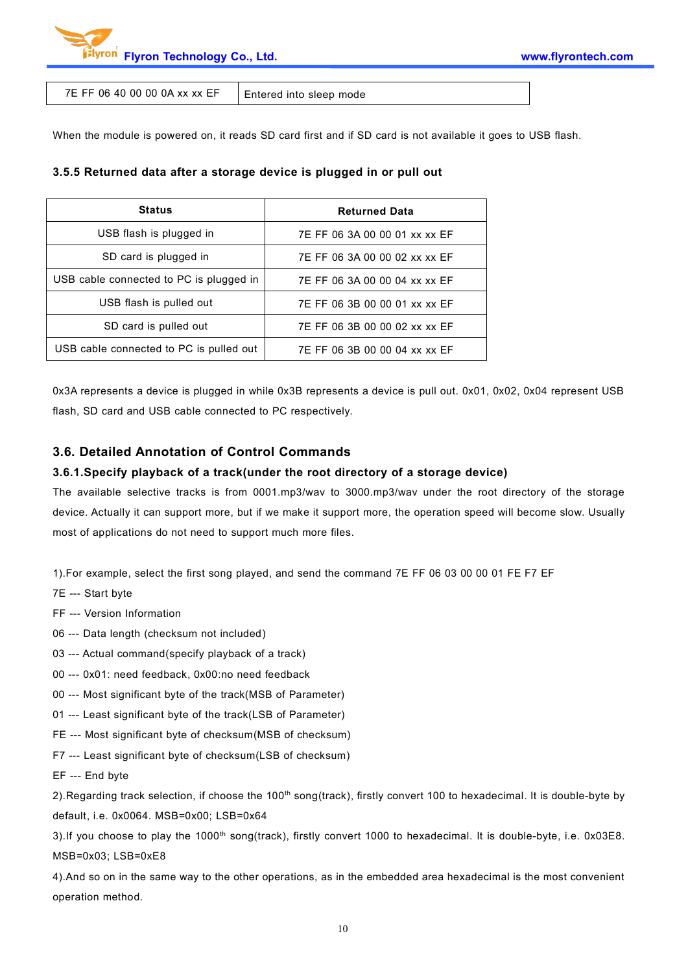

7E FF 06 40 00 00 0A xx  $x \in F$  | Entered into sleep mode

When the module is powered on, it reads SD card first and if SD card is not available it goes to USB flash.

#### **3.5.5 Returned data after a storage device is plugged in or pull out**

| <b>Status</b>                           | <b>Returned Data</b>          |
|-----------------------------------------|-------------------------------|
| USB flash is plugged in                 | 7E FF 06 3A 00 00 01 xx xx EF |
| SD card is plugged in                   | 7E FF 06 3A 00 00 02 xx xx EF |
| USB cable connected to PC is plugged in | 7E FF 06 3A 00 00 04 xx xx EF |
| USB flash is pulled out                 | 7E FF 06 3B 00 00 01 xx xx EF |
| SD card is pulled out                   | 7E FF 06 3B 00 00 02 xx xx EF |
| USB cable connected to PC is pulled out | 7E FF 06 3B 00 00 04 xx xx EF |

0x3A represents a device is plugged in while 0x3B represents a device is pull out. 0x01, 0x02, 0x04 represent USB flash, SD card and USB cable connected to PC respectively.

### **3.6. Detailed Annotation of Control Commands**

#### **3.6.1.Specify playback of a track(under the root directory of a storage device)**

The available selective tracks is from 0001.mp3/wav to 3000.mp3/wav under the root directory of the storage device. Actually it can support more, but if we make it support more, the operation speed will become slow. Usually most of applications do not need to support much more files.

1).For example, select the first song played, and send the command 7E FF 06 03 00 00 01 FE F7 EF

- 7E --- Start byte
- FF --- Version Information
- 06 --- Data length (checksum not included)
- 03 --- Actual command(specify playback of a track)
- 00 --- 0x01: need feedback, 0x00:no need feedback
- 00 --- Most significant byte of the track(MSB of Parameter)
- 01 --- Least significant byte of the track(LSB of Parameter)
- FE --- Most significant byte of checksum(MSB of checksum)
- F7 --- Least significant byte of checksum(LSB of checksum)
- EF --- End byte

2).Regarding track selection, if choose the 100<sup>th</sup> song(track), firstly convert 100 to hexadecimal. It is double-byte by default, i.e. 0x0064. MSB=0x00; LSB=0x64

3). If you choose to play the 1000<sup>th</sup> song(track), firstly convert 1000 to hexadecimal. It is double-byte, i.e. 0x03E8. MSB=0x03; LSB=0xE8

4).And so on in the same way to the other operations, as in the embedded area hexadecimalis the most convenient operation method.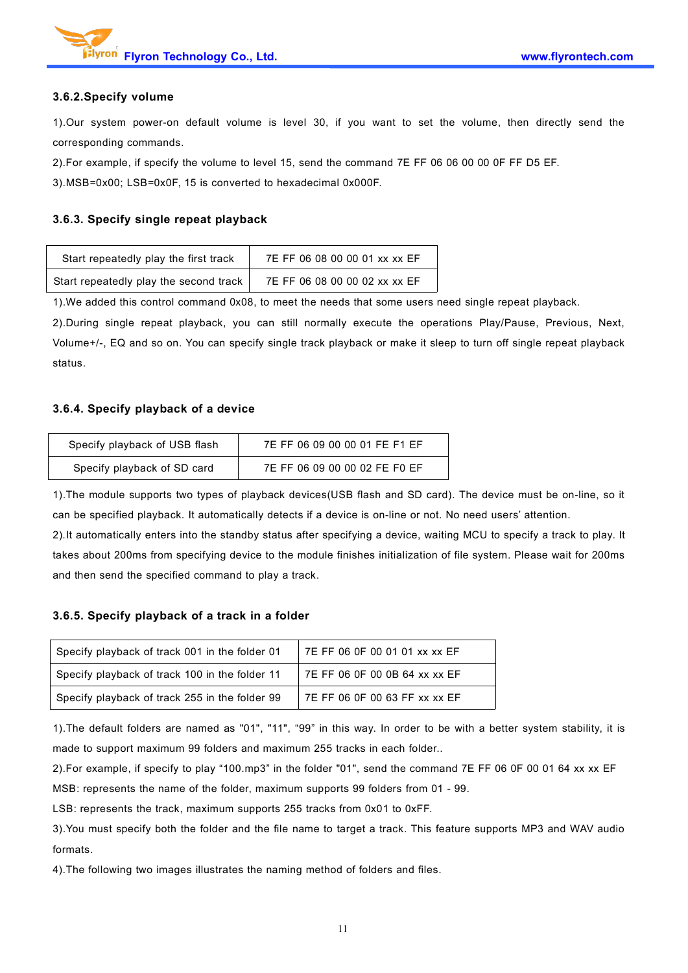

#### **3.6.2.Specify volume**

1).Our system power-on default volume is level 30, if you want to set the volume, then directly send the corresponding commands.

2).For example, if specify the volume to level 15, send the command 7E FF 06 06 00 00 0F FF D5 EF.

3).MSB=0x00; LSB=0x0F, 15 isconverted to hexadecimal 0x000F.

#### **3.6.3. Specify single repeat playback**

| Start repeatedly play the first track  | 7E FF 06 08 00 00 01 xx xx EF |
|----------------------------------------|-------------------------------|
| Start repeatedly play the second track | 7E FF 06 08 00 00 02 xx xx EF |

1). We added this control command 0x08, to meet the needs that some users need single repeat playback.

2).During single repeat playback, you can still normally execute the operations Play/Pause, Previous, Next, Volume+/-, EQ and so on. You can specify single track playback or make it sleep to turn off single repeat playback status.

#### **3.6.4. Specify playback of a device**

| Specify playback of USB flash | 7E FF 06 09 00 00 01 FE F1 EF |
|-------------------------------|-------------------------------|
| Specify playback of SD card   | 7E FF 06 09 00 00 02 FE F0 EF |

1).The module supports two types of playback devices(USB flash and SD card). The device must be on-line, so it can be specified playback. It automatically detects if a device is on-line or not. No need users' attention.

2).It automatically enters into the standby status after specifying a device, waiting MCU to specify a track to play. It takes about 200ms from specifying device to the module finishes initialization of file system. Please wait for 200ms and then send the specified command to play a track.

#### **3.6.5. Specify playback of a track in a folder**

| Specify playback of track 001 in the folder 01 | 7E FF 06 0F 00 01 01 xx xx EF |
|------------------------------------------------|-------------------------------|
| Specify playback of track 100 in the folder 11 | 7E FF 06 0F 00 0B 64 xx xx EF |
| Specify playback of track 255 in the folder 99 | 7E FF 06 0F 00 63 FF xx xx EF |

1).The default folders are named as "01", "11", "99" in this way. In order to be with a better system stability, it is made to support maximum 99 folders and maximum 255 tracks in each folder..

2).For example, if specify to play "100.mp3" in the folder "01", send the command 7E FF 06 0F 00 01 64 xx xx EF

MSB: represents the name of the folder, maximum supports 99 folders from 01 - 99.

LSB: represents the track, maximum supports 255 tracks from 0x01 to 0xFF.

3).You must specify both the folder and the file name to target a track. This feature supports MP3 and WAV audio formats.

4).The following two images illustrates the naming method of folders and files.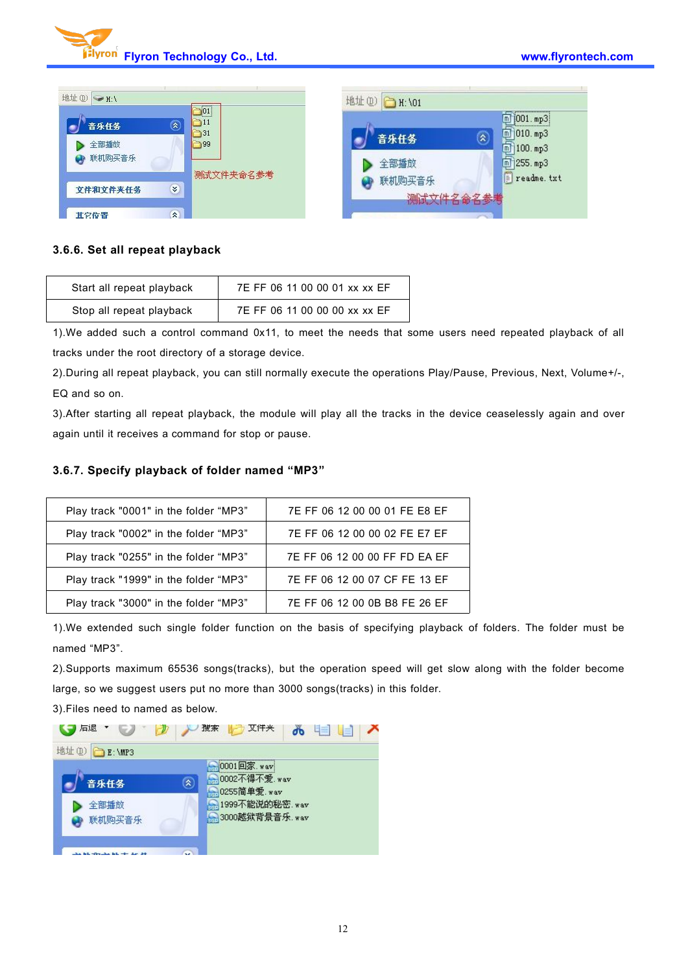

| 地址(D) → H:\                                              | 地址(D) 1:\01                                                                                |
|----------------------------------------------------------|--------------------------------------------------------------------------------------------|
| 01 <br>'nН<br>$\mathbf{r}$<br>音乐任务<br>731<br>全部播放<br>199 | $[001.$ mp3:<br>$\boxed{m}$ 010. mp3<br>$\hat{\mathbf{z}}$<br>音乐任务<br>$\boxed{m}$ 100. mp3 |
| 联机购买音乐<br>测试文件夹命名参考                                      | 全部播放<br>$1255.$ mp3<br>m<br>F<br>readme. txt<br>联机购买音乐                                     |
| ×.<br>文件和文件夹任务                                           | 测试文件名命名参考                                                                                  |
| 交<br>其它位置                                                |                                                                                            |

#### **3.6.6. Set all repeat playback**

| Start all repeat playback | 7E FF 06 11 00 00 01 xx xx EF |
|---------------------------|-------------------------------|
| Stop all repeat playback  | 7E FF 06 11 00 00 00 xx xx EF |

1).We added such a control command 0x11, to meet the needs that some users need repeated playback of all tracks under the root directory of a storage device.

2).During all repeat playback, you can still normally execute the operations Play/Pause, Previous, Next, Volume+/-, EQ and so on.

3).After starting all repeat playback, the module will play all the tracks in the device ceaselessly again and over again until it receives a command for stop or pause.

#### **3.6.7. Specify playback of folder named "MP3"**

| Play track "0001" in the folder "MP3" | 7E FF 06 12 00 00 01 FE E8 EF |
|---------------------------------------|-------------------------------|
| Play track "0002" in the folder "MP3" | 7E FF 06 12 00 00 02 FE E7 EF |
| Play track "0255" in the folder "MP3" | 7E FF 06 12 00 00 FF FD EA EF |
| Play track "1999" in the folder "MP3" | 7E FF 06 12 00 07 CF FE 13 EF |
| Play track "3000" in the folder "MP3" | 7E FF 06 12 00 0B B8 FE 26 EF |

1).We extended such single folder function on the basis of specifying playback of folders. The folder must be named "MP3".

2).Supports maximum 65536 songs(tracks), but the operation speed will get slow along with the folder become large, so we suggest users put no more than 3000 songs(tracks) in this folder.

3).Files need to named as below.

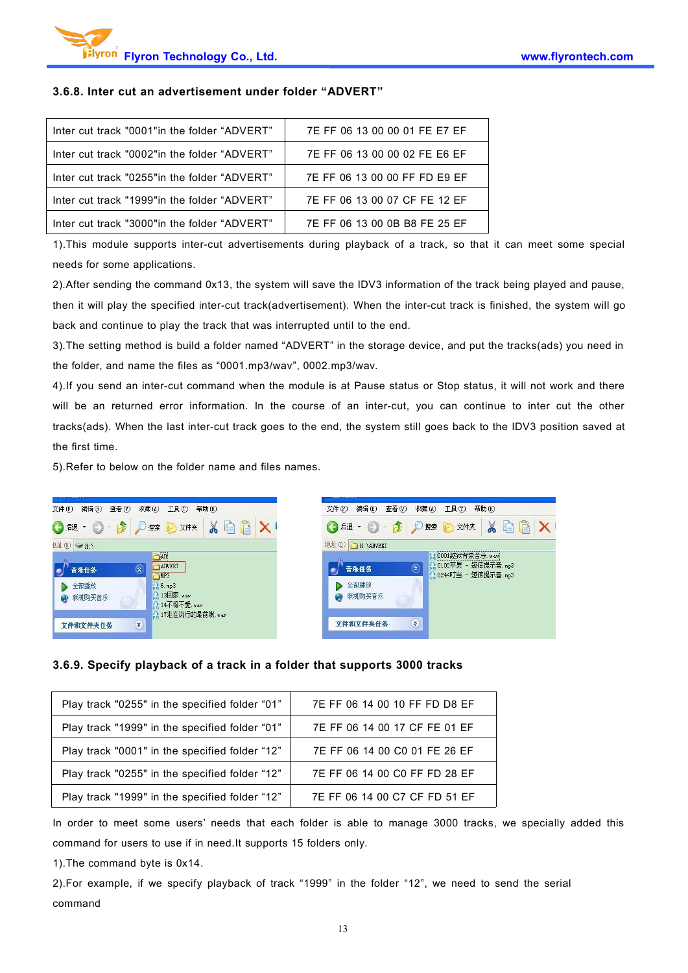#### **3.6.8. Inter cut an advertisement under folder "ADVERT"**

| lnter cut track "0001" in the folder "ADVERT" | 7E FF 06 13 00 00 01 FE E7 EF |
|-----------------------------------------------|-------------------------------|
| lnter cut track "0002"in the folder "ADVERT"  | 7E FF 06 13 00 00 02 FE E6 EF |
| lnter cut track "0255" in the folder "ADVERT" | 7E FF 06 13 00 00 FF FD E9 EF |
| lnter cut track "1999"in the folder "ADVERT"  | 7E FF 06 13 00 07 CF FE 12 EF |
| lnter cut track "3000"in the folder "ADVERT"  | 7E FF 06 13 00 0B B8 FE 25 EF |

1).This module supports inter-cut advertisements during playback of a track, so that it can meet some special needs for some applications.

2).After sending the command 0x13, the system will save the IDV3 information of the track being played and pause, then it will play the specified inter-cut track(advertisement). When the inter-cut track is finished, the system will go back and continue to play the track that was interrupted until to the end.

3).The setting method isbuild a folder named "ADVERT" in the storage device, and put the tracks(ads) you need in the folder, and name the files as "0001.mp3/wav", 0002.mp3/wav.

4).If you send an inter-cut command when the module is at Pause status or Stop status, it will not work and there will be an returned error information. In the course of an inter-cut, you can continue to inter cut the other tracks(ads). When the last inter-cut track goes to the end, the system still goes back to the IDV3 position saved at the first time.

5).Refer to below on the folder name and files names.



#### **3.6.9. Specify playback of a track in a folderthat supports 3000 tracks**

| Play track "0255" in the specified folder "01" | 7E FF 06 14 00 10 FF FD D8 EF |
|------------------------------------------------|-------------------------------|
| Play track "1999" in the specified folder "01" | 7E FF 06 14 00 17 CF FE 01 EF |
| Play track "0001" in the specified folder "12" | 7E FF 06 14 00 C0 01 FE 26 EF |
| Play track "0255" in the specified folder "12" | 7E FF 06 14 00 C0 FF FD 28 EF |
| Play track "1999" in the specified folder "12" | 7E FF 06 14 00 C7 CF FD 51 EF |

In order to meet some users' needs that each folder is able to manage 3000 tracks, we specially added this command for users to use if in need.It supports 15 folders only.

1).The command byte is 0x14.

2).For example, if we specify playback of track "1999" in the folder "12", we need to send the serial command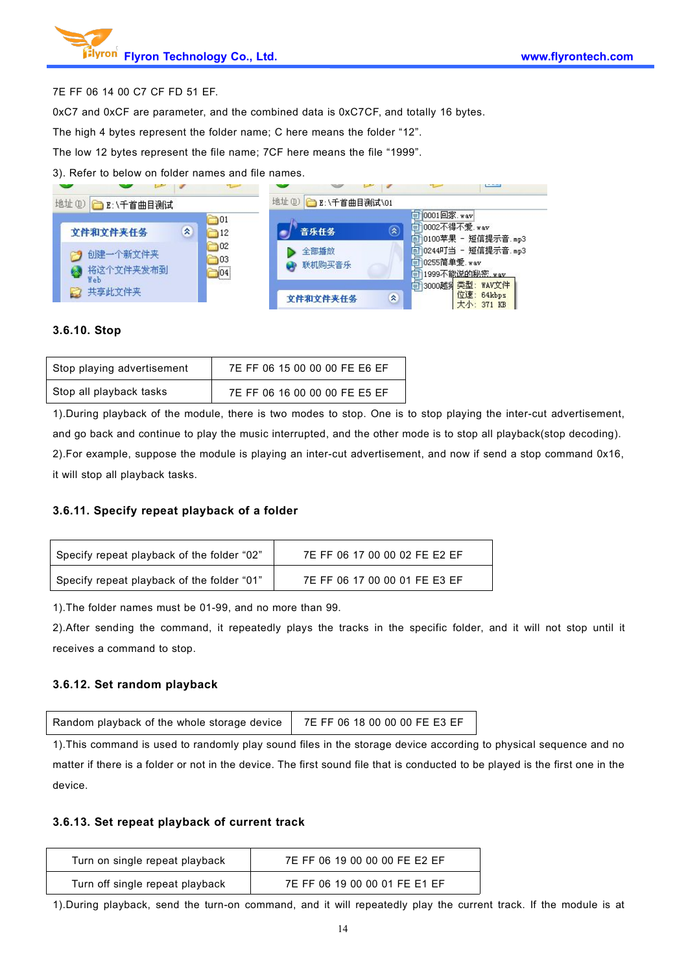#### 7E FF 06 14 00 C7 CF FD 51 EF.

0xC7 and 0xCF are parameter, and the combined data is 0xC7CF, and totally 16 bytes.

The high 4 bytes represent the folder name; C here means the folder "12".

The low 12 bytes represent the file name; 7CF here means the file "1999".

3). Refer to below on folder names and file names.



#### **3.6.10. Stop**

| Stop playing advertisement | 7E FF 06 15 00 00 00 FE E6 EF |
|----------------------------|-------------------------------|
| Stop all playback tasks    | 7E FF 06 16 00 00 00 FE E5 EF |

1).During playback of the module, there is two modes to stop. One is to stop playing the inter-cut advertisement, and go back and continue to play the music interrupted, and the other mode is to stop all playback(stop decoding). 2).For example, suppose the module is playing an inter-cut advertisement, and now if send a stop command 0x16, it will stop all playback tasks.

#### **3.6.11. Specify repeat playback of a folder**

1).The folder names must be 01-99, and no more than 99.

2).After sending the command, it repeatedly plays the tracks in the specific folder, and it will not stop until it receives a command to stop.

#### **3.6.12. Set random playback**

| Random playback of the whole storage device   7E FF 06 18 00 00 00 FE E3 EF |  |  |
|-----------------------------------------------------------------------------|--|--|
|-----------------------------------------------------------------------------|--|--|

1). This command is used to randomly play sound files in the storage device according to physical sequence and no matter if there is a folder or not in the device. The first sound file that is conducted to be played is the first one in the device.

#### **3.6.13. Set repeat playback of current track**

| Turn on single repeat playback  | 7E FF 06 19 00 00 00 FE E2 EF |
|---------------------------------|-------------------------------|
| Turn off single repeat playback | 7E FF 06 19 00 00 01 FE E1 EF |

1).During playback, send the turn-on command, and it will repeatedly play the current track. If the module is at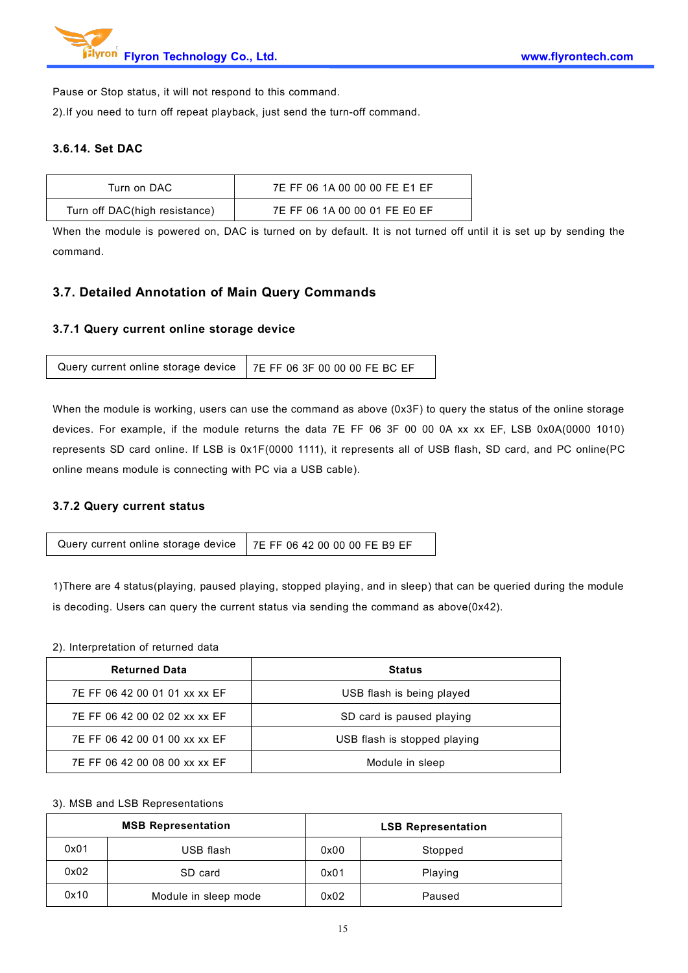

Pause or Stop status, it will not respond to this command.

2).If you need to turn off repeat playback, just send the turn-off command.

#### **3.6.14. Set DAC**

| Turn on DAC                   | 7E FF 06 1A 00 00 00 FE E1 EF |
|-------------------------------|-------------------------------|
| Turn off DAC(high resistance) | 7E FF 06 1A 00 00 01 FE E0 EF |

When the module is powered on, DAC is turned on by default. It is not turned off until it is set up by sending the command.

### **3.7. Detailed Annotation of Main Query Commands**

#### **3.7.1 Query current online storage device**

|--|

When the module is working, users can use the command as above (0x3F) to query the status of the online storage devices. For example, if the module returns the data 7E FF 06 3F 00 00 0A xx xx EF, LSB 0x0A(0000 1010) represents SD card online. If LSB is 0x1F(0000 1111), it represents all of USB flash, SD card, and PC online(PC online means module is connecting with PC via a USB cable).

#### **3.7.2 Query current status**

| Query current online storage device $\vert$ 7E FF 06 42 00 00 00 FE B9 EF |  |
|---------------------------------------------------------------------------|--|
|---------------------------------------------------------------------------|--|

1)There are 4 status(playing, paused playing, stopped playing, and in sleep) that can be queried during the module is decoding. Users can query the current status via sending the command as above(0x42).

#### 2). Interpretation of returned data

| <b>Returned Data</b>          | <b>Status</b>                |
|-------------------------------|------------------------------|
| 7E FF 06 42 00 01 01 xx xx EF | USB flash is being played    |
| 7E FF 06 42 00 02 02 xx xx EF | SD card is paused playing    |
| 7E FF 06 42 00 01 00 xx xx EF | USB flash is stopped playing |
| 7E FF 06 42 00 08 00 xx xx EF | Module in sleep              |

#### 3). MSB and LSB Representations

|      | <b>MSB Representation</b> |      | <b>LSB Representation</b> |
|------|---------------------------|------|---------------------------|
| 0x01 | USB flash                 | 0x00 | Stopped                   |
| 0x02 | SD card                   | 0x01 | Playing                   |
| 0x10 | Module in sleep mode      | 0x02 | Paused                    |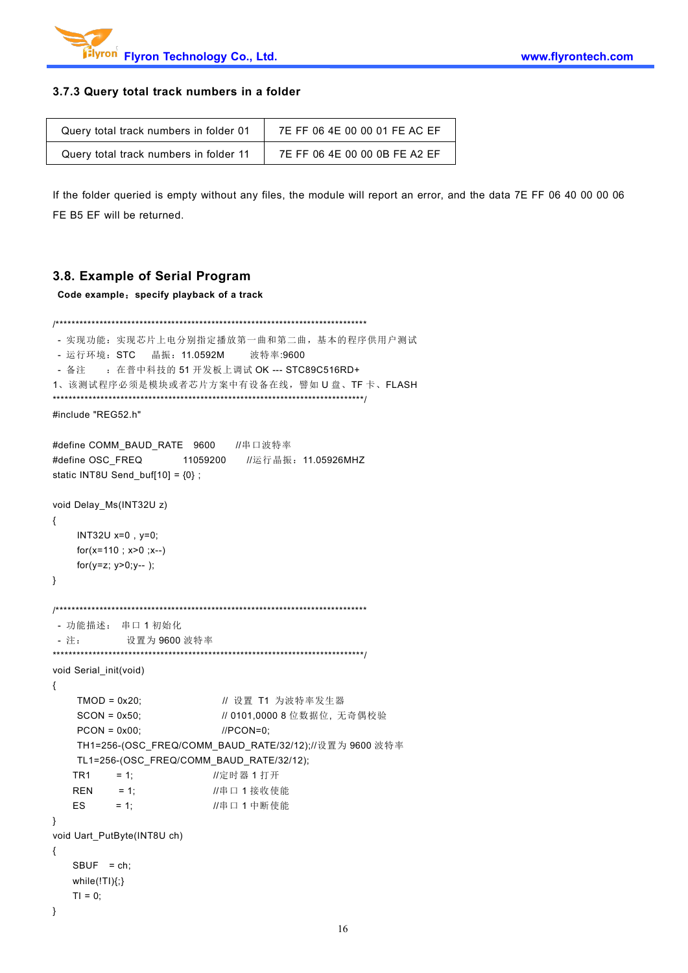

#### **3.7.3 Query total track numbers in a folder**

| Query total track numbers in folder 01 | 7E FF 06 4E 00 00 01 FE AC EF |
|----------------------------------------|-------------------------------|
| Query total track numbers in folder 11 | 7E FF 06 4E 00 00 0B FE A2 EF |

If the folder queried is empty without any files, the module will report an error, and the data 7E FF 06 40 00 00 06 FE B5 EF will be returned.

### **3.8. Example of Serial Program**

**Code example**:**specify playback of a track**

```
/******************************************************************************
- 实现功能:实现芯片上电分别指定播放第一曲和第二曲,基本的程序供用户测试
- 运行环境: STC 晶振: 11.0592M 波特率:9600
- 备注 : 在普中科技的 51 开发板上调试 OK --- STC89C516RD+
1、该测试程序必须是模块或者芯片方案中有设备在线,譬如 U 盘、TF 卡、FLASH
******************************************************************************/
#include "REG52.h"
#define COMM_BAUD_RATE 9600 //串口波特率
#define OSC_FREQ 11059200 //运行晶振: 11.05926MHZ
static INT8U Send_buf[10] = {0} ;
void Delay_Ms(INT32U z)
{
    INT32U x=0 , y=0;
    for(x=110 ; x>0 ; x--)
    for(y=z; y>0; y--);
}
/******************************************************************************
- 功能描述: 串口 1 初始化
- 注: 设置为 9600 波特率
******************************************************************************/
void Serial_init(void)
{
    TMOD = 0x20; <br> // 设置 T1 为波特率发生器
    SCON = 0x50; \frac{1}{10} 0101,0000 8 位数据位, 无奇偶校验
    PCON = 0x00; //PCON=0;
    TH1=256-(OSC_FREQ/COMM_BAUD_RATE/32/12);//设置为 9600 波特率
   TL1=256-(OSC_FREQ/COMM_BAUD_RATE/32/12);
   TR1 = 1;  定时器 1 打开
   REN = 1; //串口 1 接收使能
   ES = 1; //串口 1 中断使能
}
void Uart_PutByte(INT8U ch)
{
   SBUF = ch;while(!TI){;}
   TI = 0:
}
```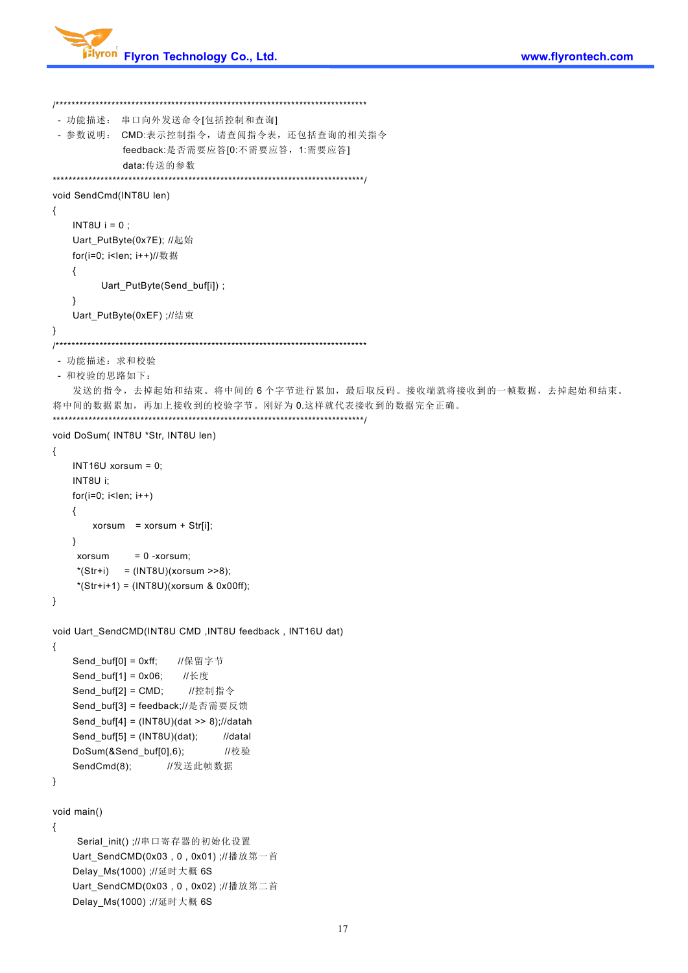

```
/******************************************************************************
- 功能描述: 串口向外发送命令[包括控制和查询] - 参数说明: CMD:表示控制指令,请查阅指令表,还包括查询的相关指令
           feedback:是否需要应答[0:不需要应答,1:需要应答]
           data:传送的参数
******************************************************************************/
void SendCmd(INT8U len)
{
   INT8U i = 0;
   Uart_PutByte(0x7E); //起始
   for(i=0; i<len; i++)//数据
   {
        Uart_PutByte(Send_buf[i]) ;
   }
   Uart_PutByte(0xEF) ;//结束
}
  /******************************************************************************
 - 功能描述:求和校验
 - 和校验的思路如下:
   发送的指令,去掉起始和结束。将中间的6个字节进行累加,最后取反码。接收端就将接收到的一帧数据,去掉起始和结束。
将中间的数据累加,再加上接收到的校验字节。刚好为 0.这样就代表接收到的数据完全正确。
******************************************************************************/
void DoSum(INT8U *Str, INT8U len)
{
   INT16U xorsum = 0;
   INT8U i;
   for(i=0; i<len; i++)
   { xorsum = xorsum + Str[i];
   } xorsum = 0 -xorsum;*(Str + i) = (INT8U)(xorsum >> 8);*(Str+i+1) = (INT8U)(xorsum & 0x00ff);}
void Uart_SendCMD(INT8U CMD ,INT8U feedback , INT16U dat)
{
   Send_buf[0] = 0xff; //保留字节
   Send_buf[1] = 0x06; //长度
   Send buf[2] = CMD; //控制指令
   Send_buf[3] = feedback;//是否需要反馈
   Send_buf[4] = (INT8U)(dat >> 8);//datah
   Send_buf[5] = (INT8U)(dat); //datal
   DoSum(&Send_buf[0],6); //校验
   SendCmd(8); //发送此帧数据
}
void main()
{
    Serial_init() ;//串口寄存器的初始化设置
   Uart SendCMD(0x03, 0, 0x01) ;//播放第一首
   Delay_Ms(1000) ;//延时大概 6S
   Uart_SendCMD(0x03 , 0 , 0x02) ;//播放第二首
   Delay_Ms(1000) ;//延时大概 6S
```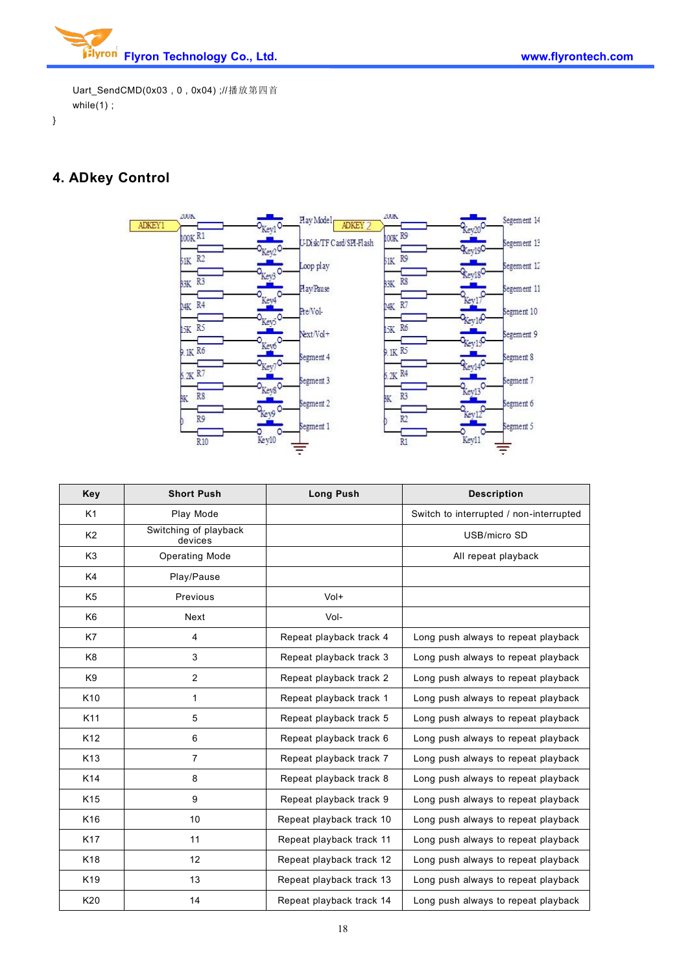

Uart\_SendCMD(0x03 , 0 , 0x04) ;//播放第四首 while $(1)$ ;

}

# **4. ADkey Control**



| Key             | <b>Short Push</b>                | <b>Long Push</b>         | <b>Description</b>                      |  |
|-----------------|----------------------------------|--------------------------|-----------------------------------------|--|
| K1              | Play Mode                        |                          | Switch to interrupted / non-interrupted |  |
| K <sub>2</sub>  | Switching of playback<br>devices |                          | USB/micro SD                            |  |
| K <sub>3</sub>  | <b>Operating Mode</b>            |                          | All repeat playback                     |  |
| K4              | Play/Pause                       |                          |                                         |  |
| K <sub>5</sub>  | Previous                         | Vol+                     |                                         |  |
| K <sub>6</sub>  | Next                             | Vol-                     |                                         |  |
| K7              | 4                                | Repeat playback track 4  | Long push always to repeat playback     |  |
| K <sub>8</sub>  | 3                                | Repeat playback track 3  | Long push always to repeat playback     |  |
| K <sub>9</sub>  | 2                                | Repeat playback track 2  | Long push always to repeat playback     |  |
| K <sub>10</sub> | $\mathbf{1}$                     | Repeat playback track 1  | Long push always to repeat playback     |  |
| K11             | 5                                | Repeat playback track 5  | Long push always to repeat playback     |  |
| K <sub>12</sub> | 6                                | Repeat playback track 6  | Long push always to repeat playback     |  |
| K <sub>13</sub> | $\overline{7}$                   | Repeat playback track 7  | Long push always to repeat playback     |  |
| K14             | 8                                | Repeat playback track 8  | Long push always to repeat playback     |  |
| K <sub>15</sub> | 9                                | Repeat playback track 9  | Long push always to repeat playback     |  |
| K <sub>16</sub> | 10                               | Repeat playback track 10 | Long push always to repeat playback     |  |
| K17             | 11                               | Repeat playback track 11 | Long push always to repeat playback     |  |
| K <sub>18</sub> | 12                               | Repeat playback track 12 | Long push always to repeat playback     |  |
| K <sub>19</sub> | 13                               | Repeat playback track 13 | Long push always to repeat playback     |  |
| K20             | 14                               | Repeat playback track 14 | Long push always to repeat playback     |  |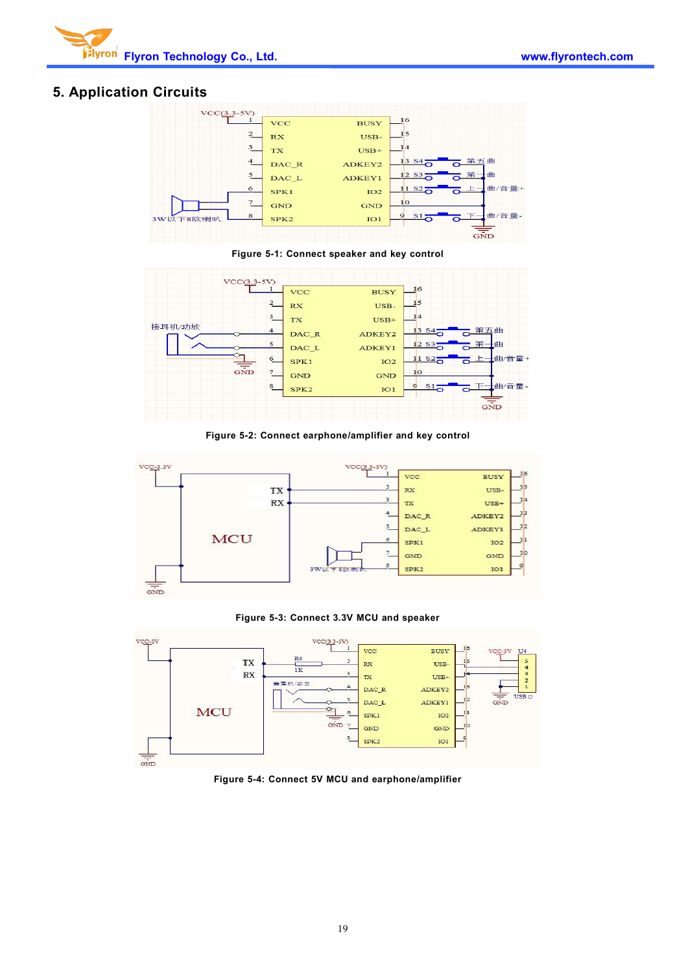

### **5. Application Circuits**



**Figure 5-1: Connect speaker and key control**



**Figure 5-2: Connect earphone/amplifier and key control**



#### **Figure 5-3: Connect 3.3V MCU and speaker**



**Figure 5-4: Connect 5V MCU andearphone/amplifier**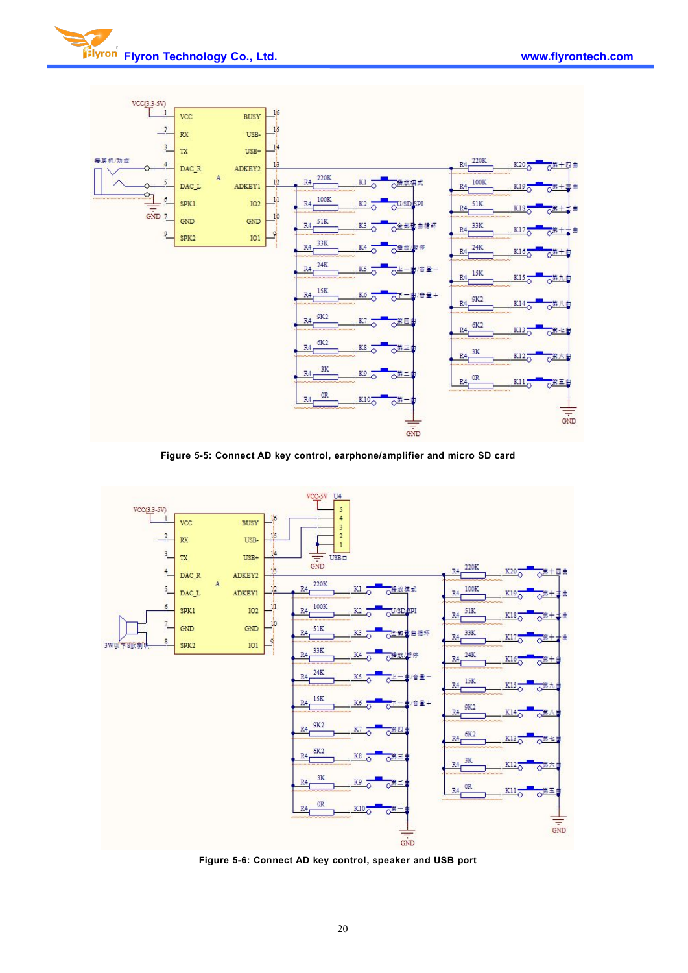

**Figure 5-5: Connect AD key control, earphone/amplifier and micro SD card**



**Figure 5-6: Connect AD key control, speaker and USB port**